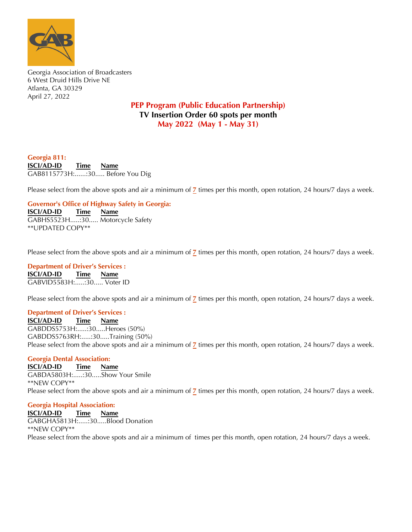

Georgia Association of Broadcasters 6 West Druid Hills Drive NE Atlanta, GA 30329 April 27, 2022

## **PEP Program (Public Education Partnership) TV Insertion Order 60 spots per month May 2022 (May 1 - May 31)**

**Georgia 811: ISCI/AD-ID Time Name** GAB8115773H:......:30..... Before You Dig

Please select from the above spots and air a minimum of **7** times per this month, open rotation, 24 hours/7 days a week.

**Governor's Office of Highway Safety in Georgia:**

**ISCI/AD-ID Time Name** GABHS5523H.....:30..... Motorcycle Safety \*\*UPDATED COPY\*\*

Please select from the above spots and air a minimum of **7** times per this month, open rotation, 24 hours/7 days a week.

**Department of Driver's Services : ISCI/AD-ID Time Name** GABVID5583H:.....:30..... Voter ID

Please select from the above spots and air a minimum of  $\frac{7}{2}$  times per this month, open rotation, 24 hours/7 days a week.

## **Department of Driver's Services :**

**ISCI/AD-ID Time Name** GABDDS5753H:.......30.....Heroes (50%) Please select from the above spots and air a minimum of  $\overline{z}$  times per this month open rotation 24 hours/7 day. **Thank**  $\sqrt{500}$ Please select from the above spots and air a minimum of  $\frac{7}{2}$  times per this month, open rotation, 24 hours/7 days a week. GABDDS5763RH:.....:30.....Training (50%)

## **Georgia Dental Association:**

**ISCI/AD-ID Time Name**  $\overline{GABDA580}$ 3H:.....: $30$ ..... $\overline{Show}$  Your Smile Please select from the above spots and air a minimum of  $\overline{z}$  times per this month open rotation 24 hours/7 day Please select from the above spots and air a minimum of <mark>7</mark> times per this month, open rotation, 24 hours/7 days a week. \*\*NEW COPY\*\*

## **Georgia Hospital Association:**

**ISCI/AD-ID Time Name** GABGHA5813H:......30......Blood Donation \*\*NEW COPY\*\*

Please select from the above spots and air a minimum of times per this more Please select from the above spots and air a minimum of times per this month, open rotation, 24 hours/7 days a week.<br>